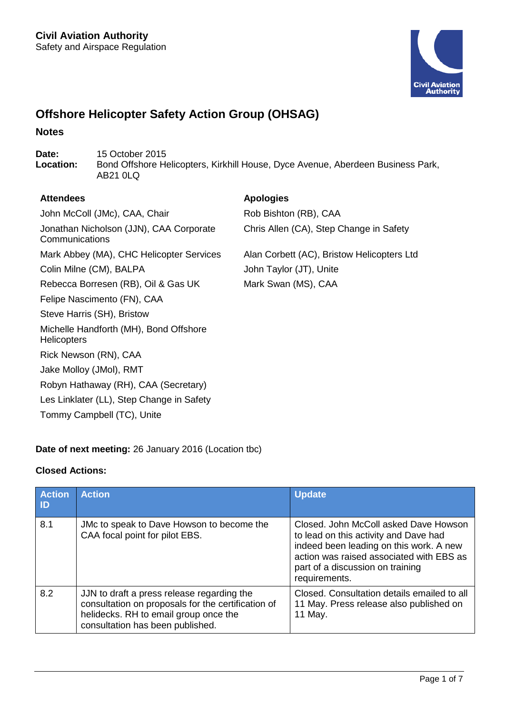

# **Offshore Helicopter Safety Action Group (OHSAG)**

### **Notes**

Date: 15 October 2015<br> **Location:** Bond Offshore He **Location:** Bond Offshore Helicopters, Kirkhill House, Dyce Avenue, Aberdeen Business Park, AB21 0LQ

### **Attendees Apologies**

John McColl (JMc), CAA, Chair Rob Bishton (RB), CAA Jonathan Nicholson (JJN), CAA Corporate Chris Allen (CA), Step Change in Safety

**Communications** Mark Abbey (MA), CHC Helicopter Services Alan Corbett (AC), Bristow Helicopters Ltd Colin Milne (CM), BALPA John Taylor (JT), Unite Rebecca Borresen (RB), Oil & Gas UK Mark Swan (MS), CAA Felipe Nascimento (FN), CAA Steve Harris (SH), Bristow Michelle Handforth (MH), Bond Offshore **Helicopters** 

Robyn Hathaway (RH), CAA (Secretary) Les Linklater (LL), Step Change in Safety

# **Date of next meeting:** 26 January 2016 (Location tbc)

# **Closed Actions:**

Rick Newson (RN), CAA Jake Molloy (JMol), RMT

Tommy Campbell (TC), Unite

| <b>Action</b><br>$\blacksquare$ | <b>Action</b>                                                                                                                                                                 | <b>Update</b>                                                                                                                                                                                                              |
|---------------------------------|-------------------------------------------------------------------------------------------------------------------------------------------------------------------------------|----------------------------------------------------------------------------------------------------------------------------------------------------------------------------------------------------------------------------|
| 8.1                             | JMc to speak to Dave Howson to become the<br>CAA focal point for pilot EBS.                                                                                                   | Closed. John McColl asked Dave Howson<br>to lead on this activity and Dave had<br>indeed been leading on this work. A new<br>action was raised associated with EBS as<br>part of a discussion on training<br>requirements. |
| 8.2                             | JJN to draft a press release regarding the<br>consultation on proposals for the certification of<br>helidecks. RH to email group once the<br>consultation has been published. | Closed. Consultation details emailed to all<br>11 May. Press release also published on<br>11 May.                                                                                                                          |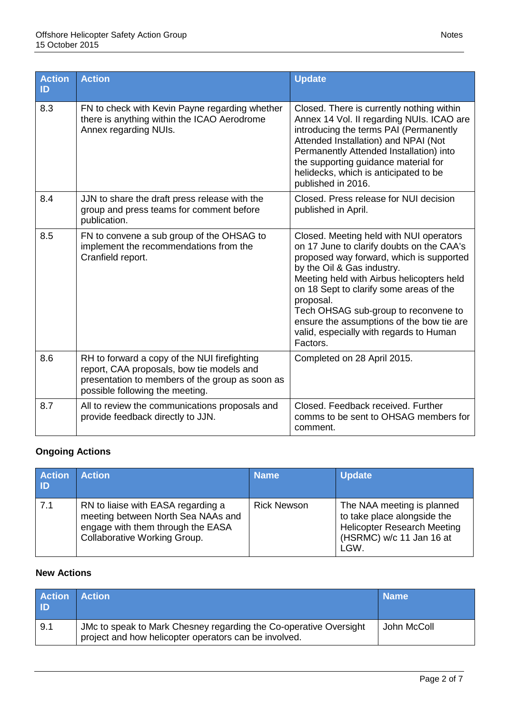| <b>Action</b><br>ID | <b>Action</b>                                                                                                                                                                   | <b>Update</b>                                                                                                                                                                                                                                                                                                                                                                                                   |
|---------------------|---------------------------------------------------------------------------------------------------------------------------------------------------------------------------------|-----------------------------------------------------------------------------------------------------------------------------------------------------------------------------------------------------------------------------------------------------------------------------------------------------------------------------------------------------------------------------------------------------------------|
| 8.3                 | FN to check with Kevin Payne regarding whether<br>there is anything within the ICAO Aerodrome<br>Annex regarding NUIs.                                                          | Closed. There is currently nothing within<br>Annex 14 Vol. II regarding NUIs. ICAO are<br>introducing the terms PAI (Permanently<br>Attended Installation) and NPAI (Not<br>Permanently Attended Installation) into<br>the supporting guidance material for<br>helidecks, which is anticipated to be<br>published in 2016.                                                                                      |
| 8.4                 | JJN to share the draft press release with the<br>group and press teams for comment before<br>publication.                                                                       | Closed. Press release for NUI decision<br>published in April.                                                                                                                                                                                                                                                                                                                                                   |
| 8.5                 | FN to convene a sub group of the OHSAG to<br>implement the recommendations from the<br>Cranfield report.                                                                        | Closed. Meeting held with NUI operators<br>on 17 June to clarify doubts on the CAA's<br>proposed way forward, which is supported<br>by the Oil & Gas industry.<br>Meeting held with Airbus helicopters held<br>on 18 Sept to clarify some areas of the<br>proposal.<br>Tech OHSAG sub-group to reconvene to<br>ensure the assumptions of the bow tie are<br>valid, especially with regards to Human<br>Factors. |
| 8.6                 | RH to forward a copy of the NUI firefighting<br>report, CAA proposals, bow tie models and<br>presentation to members of the group as soon as<br>possible following the meeting. | Completed on 28 April 2015.                                                                                                                                                                                                                                                                                                                                                                                     |
| 8.7                 | All to review the communications proposals and<br>provide feedback directly to JJN.                                                                                             | Closed. Feedback received. Further<br>comms to be sent to OHSAG members for<br>comment.                                                                                                                                                                                                                                                                                                                         |

# **Ongoing Actions**

| <b>Action</b><br>I ID | <b>Action</b>                                                                                                                                 | <b>Name</b>        | <b>Update</b>                                                                                                                       |
|-----------------------|-----------------------------------------------------------------------------------------------------------------------------------------------|--------------------|-------------------------------------------------------------------------------------------------------------------------------------|
| 7.1                   | RN to liaise with EASA regarding a<br>meeting between North Sea NAAs and<br>engage with them through the EASA<br>Collaborative Working Group. | <b>Rick Newson</b> | The NAA meeting is planned<br>to take place alongside the<br><b>Helicopter Research Meeting</b><br>(HSRMC) w/c 11 Jan 16 at<br>LGW. |

# **New Actions**

| <b>Action Action</b><br><b>ID</b> |                                                                                                                            | <b>Name</b> |
|-----------------------------------|----------------------------------------------------------------------------------------------------------------------------|-------------|
| $\mid$ 9.1                        | JMc to speak to Mark Chesney regarding the Co-operative Oversight<br>project and how helicopter operators can be involved. | John McColl |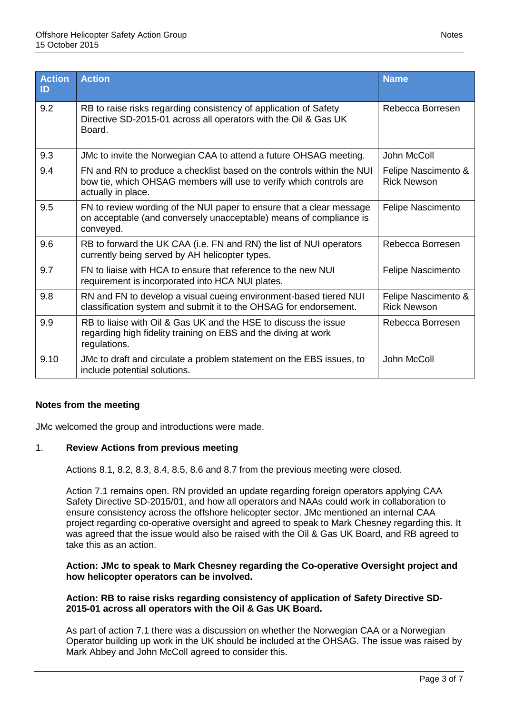| <b>Action</b><br>ID | <b>Action</b>                                                                                                                                                     | <b>Name</b>                               |
|---------------------|-------------------------------------------------------------------------------------------------------------------------------------------------------------------|-------------------------------------------|
| 9.2                 | RB to raise risks regarding consistency of application of Safety<br>Directive SD-2015-01 across all operators with the Oil & Gas UK<br>Board.                     | Rebecca Borresen                          |
| 9.3                 | JMc to invite the Norwegian CAA to attend a future OHSAG meeting.                                                                                                 | John McColl                               |
| 9.4                 | FN and RN to produce a checklist based on the controls within the NUI<br>bow tie, which OHSAG members will use to verify which controls are<br>actually in place. | Felipe Nascimento &<br><b>Rick Newson</b> |
| 9.5                 | FN to review wording of the NUI paper to ensure that a clear message<br>on acceptable (and conversely unacceptable) means of compliance is<br>conveyed.           | Felipe Nascimento                         |
| 9.6                 | RB to forward the UK CAA (i.e. FN and RN) the list of NUI operators<br>currently being served by AH helicopter types.                                             | Rebecca Borresen                          |
| 9.7                 | FN to liaise with HCA to ensure that reference to the new NUI<br>requirement is incorporated into HCA NUI plates.                                                 | <b>Felipe Nascimento</b>                  |
| 9.8                 | RN and FN to develop a visual cueing environment-based tiered NUI<br>classification system and submit it to the OHSAG for endorsement.                            | Felipe Nascimento &<br><b>Rick Newson</b> |
| 9.9                 | RB to liaise with Oil & Gas UK and the HSE to discuss the issue<br>regarding high fidelity training on EBS and the diving at work<br>regulations.                 | Rebecca Borresen                          |
| 9.10                | JMc to draft and circulate a problem statement on the EBS issues, to<br>include potential solutions.                                                              | John McColl                               |

# **Notes from the meeting**

JMc welcomed the group and introductions were made.

### 1. **Review Actions from previous meeting**

Actions 8.1, 8.2, 8.3, 8.4, 8.5, 8.6 and 8.7 from the previous meeting were closed.

Action 7.1 remains open. RN provided an update regarding foreign operators applying CAA Safety Directive SD-2015/01, and how all operators and NAAs could work in collaboration to ensure consistency across the offshore helicopter sector. JMc mentioned an internal CAA project regarding co-operative oversight and agreed to speak to Mark Chesney regarding this. It was agreed that the issue would also be raised with the Oil & Gas UK Board, and RB agreed to take this as an action.

#### **Action: JMc to speak to Mark Chesney regarding the Co-operative Oversight project and how helicopter operators can be involved.**

#### **Action: RB to raise risks regarding consistency of application of Safety Directive SD-2015-01 across all operators with the Oil & Gas UK Board.**

As part of action 7.1 there was a discussion on whether the Norwegian CAA or a Norwegian Operator building up work in the UK should be included at the OHSAG. The issue was raised by Mark Abbey and John McColl agreed to consider this.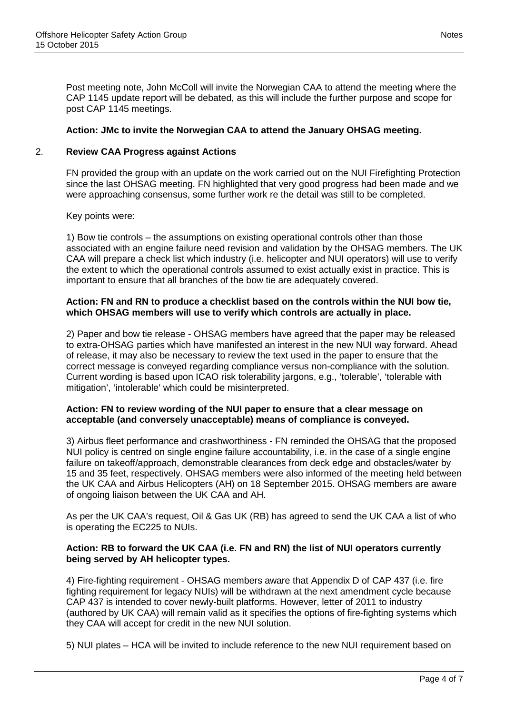Post meeting note, John McColl will invite the Norwegian CAA to attend the meeting where the CAP 1145 update report will be debated, as this will include the further purpose and scope for post CAP 1145 meetings.

### **Action: JMc to invite the Norwegian CAA to attend the January OHSAG meeting.**

### 2. **Review CAA Progress against Actions**

FN provided the group with an update on the work carried out on the NUI Firefighting Protection since the last OHSAG meeting. FN highlighted that very good progress had been made and we were approaching consensus, some further work re the detail was still to be completed.

#### Key points were:

1) Bow tie controls – the assumptions on existing operational controls other than those associated with an engine failure need revision and validation by the OHSAG members. The UK CAA will prepare a check list which industry (i.e. helicopter and NUI operators) will use to verify the extent to which the operational controls assumed to exist actually exist in practice. This is important to ensure that all branches of the bow tie are adequately covered.

#### **Action: FN and RN to produce a checklist based on the controls within the NUI bow tie, which OHSAG members will use to verify which controls are actually in place.**

2) Paper and bow tie release - OHSAG members have agreed that the paper may be released to extra-OHSAG parties which have manifested an interest in the new NUI way forward. Ahead of release, it may also be necessary to review the text used in the paper to ensure that the correct message is conveyed regarding compliance versus non-compliance with the solution. Current wording is based upon ICAO risk tolerability jargons, e.g., 'tolerable', 'tolerable with mitigation', 'intolerable' which could be misinterpreted.

#### **Action: FN to review wording of the NUI paper to ensure that a clear message on acceptable (and conversely unacceptable) means of compliance is conveyed.**

3) Airbus fleet performance and crashworthiness - FN reminded the OHSAG that the proposed NUI policy is centred on single engine failure accountability, i.e. in the case of a single engine failure on takeoff/approach, demonstrable clearances from deck edge and obstacles/water by 15 and 35 feet, respectively. OHSAG members were also informed of the meeting held between the UK CAA and Airbus Helicopters (AH) on 18 September 2015. OHSAG members are aware of ongoing liaison between the UK CAA and AH.

As per the UK CAA's request, Oil & Gas UK (RB) has agreed to send the UK CAA a list of who is operating the EC225 to NUIs.

#### **Action: RB to forward the UK CAA (i.e. FN and RN) the list of NUI operators currently being served by AH helicopter types.**

4) Fire-fighting requirement - OHSAG members aware that Appendix D of CAP 437 (i.e. fire fighting requirement for legacy NUIs) will be withdrawn at the next amendment cycle because CAP 437 is intended to cover newly-built platforms. However, letter of 2011 to industry (authored by UK CAA) will remain valid as it specifies the options of fire-fighting systems which they CAA will accept for credit in the new NUI solution.

5) NUI plates – HCA will be invited to include reference to the new NUI requirement based on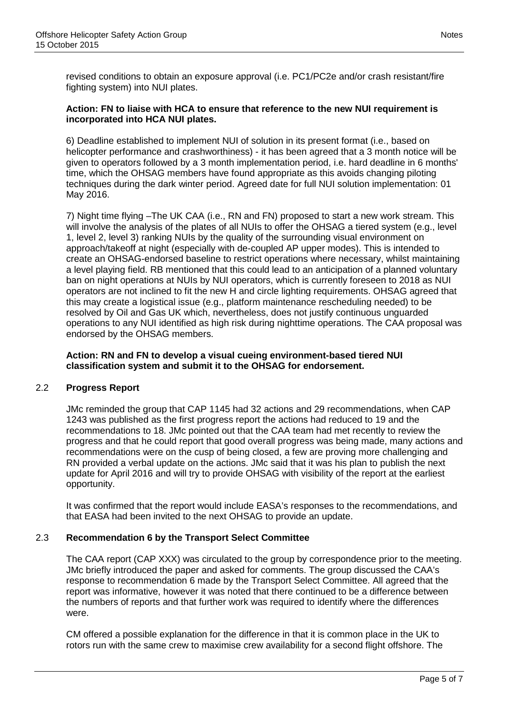revised conditions to obtain an exposure approval (i.e. PC1/PC2e and/or crash resistant/fire fighting system) into NUI plates.

#### **Action: FN to liaise with HCA to ensure that reference to the new NUI requirement is incorporated into HCA NUI plates.**

6) Deadline established to implement NUI of solution in its present format (i.e., based on helicopter performance and crashworthiness) - it has been agreed that a 3 month notice will be given to operators followed by a 3 month implementation period, i.e. hard deadline in 6 months' time, which the OHSAG members have found appropriate as this avoids changing piloting techniques during the dark winter period. Agreed date for full NUI solution implementation: 01 May 2016.

7) Night time flying –The UK CAA (i.e., RN and FN) proposed to start a new work stream. This will involve the analysis of the plates of all NUIs to offer the OHSAG a tiered system (e.g., level 1, level 2, level 3) ranking NUIs by the quality of the surrounding visual environment on approach/takeoff at night (especially with de-coupled AP upper modes). This is intended to create an OHSAG-endorsed baseline to restrict operations where necessary, whilst maintaining a level playing field. RB mentioned that this could lead to an anticipation of a planned voluntary ban on night operations at NUIs by NUI operators, which is currently foreseen to 2018 as NUI operators are not inclined to fit the new H and circle lighting requirements. OHSAG agreed that this may create a logistical issue (e.g., platform maintenance rescheduling needed) to be resolved by Oil and Gas UK which, nevertheless, does not justify continuous unguarded operations to any NUI identified as high risk during nighttime operations. The CAA proposal was endorsed by the OHSAG members.

### **Action: RN and FN to develop a visual cueing environment-based tiered NUI classification system and submit it to the OHSAG for endorsement.**

# 2.2 **Progress Report**

JMc reminded the group that CAP 1145 had 32 actions and 29 recommendations, when CAP 1243 was published as the first progress report the actions had reduced to 19 and the recommendations to 18. JMc pointed out that the CAA team had met recently to review the progress and that he could report that good overall progress was being made, many actions and recommendations were on the cusp of being closed, a few are proving more challenging and RN provided a verbal update on the actions. JMc said that it was his plan to publish the next update for April 2016 and will try to provide OHSAG with visibility of the report at the earliest opportunity.

It was confirmed that the report would include EASA's responses to the recommendations, and that EASA had been invited to the next OHSAG to provide an update.

### 2.3 **Recommendation 6 by the Transport Select Committee**

The CAA report (CAP XXX) was circulated to the group by correspondence prior to the meeting. JMc briefly introduced the paper and asked for comments. The group discussed the CAA's response to recommendation 6 made by the Transport Select Committee. All agreed that the report was informative, however it was noted that there continued to be a difference between the numbers of reports and that further work was required to identify where the differences were.

CM offered a possible explanation for the difference in that it is common place in the UK to rotors run with the same crew to maximise crew availability for a second flight offshore. The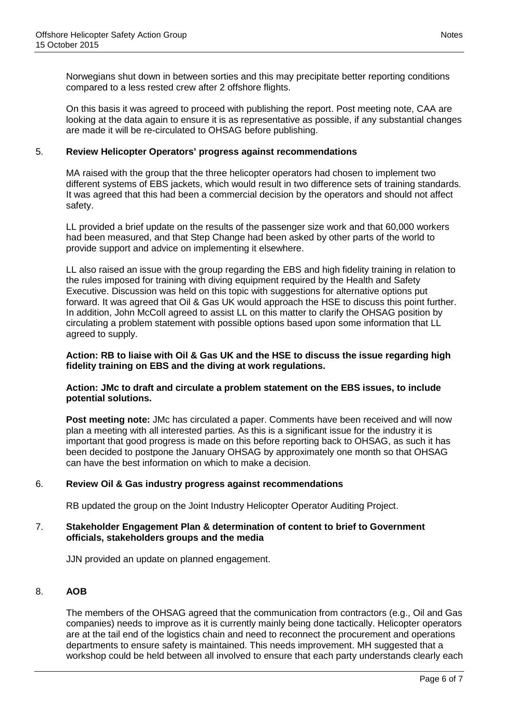Norwegians shut down in between sorties and this may precipitate better reporting conditions compared to a less rested crew after 2 offshore flights.

On this basis it was agreed to proceed with publishing the report. Post meeting note, CAA are looking at the data again to ensure it is as representative as possible, if any substantial changes are made it will be re-circulated to OHSAG before publishing.

#### 5. **Review Helicopter Operators' progress against recommendations**

MA raised with the group that the three helicopter operators had chosen to implement two different systems of EBS jackets, which would result in two difference sets of training standards. It was agreed that this had been a commercial decision by the operators and should not affect safety.

LL provided a brief update on the results of the passenger size work and that 60,000 workers had been measured, and that Step Change had been asked by other parts of the world to provide support and advice on implementing it elsewhere.

LL also raised an issue with the group regarding the EBS and high fidelity training in relation to the rules imposed for training with diving equipment required by the Health and Safety Executive. Discussion was held on this topic with suggestions for alternative options put forward. It was agreed that Oil & Gas UK would approach the HSE to discuss this point further. In addition, John McColl agreed to assist LL on this matter to clarify the OHSAG position by circulating a problem statement with possible options based upon some information that LL agreed to supply.

#### **Action: RB to liaise with Oil & Gas UK and the HSE to discuss the issue regarding high fidelity training on EBS and the diving at work regulations.**

#### **Action: JMc to draft and circulate a problem statement on the EBS issues, to include potential solutions.**

**Post meeting note:** JMc has circulated a paper. Comments have been received and will now plan a meeting with all interested parties. As this is a significant issue for the industry it is important that good progress is made on this before reporting back to OHSAG, as such it has been decided to postpone the January OHSAG by approximately one month so that OHSAG can have the best information on which to make a decision.

### 6. **Review Oil & Gas industry progress against recommendations**

RB updated the group on the Joint Industry Helicopter Operator Auditing Project.

#### 7. **Stakeholder Engagement Plan & determination of content to brief to Government officials, stakeholders groups and the media**

JJN provided an update on planned engagement.

#### 8. **AOB**

The members of the OHSAG agreed that the communication from contractors (e.g., Oil and Gas companies) needs to improve as it is currently mainly being done tactically. Helicopter operators are at the tail end of the logistics chain and need to reconnect the procurement and operations departments to ensure safety is maintained. This needs improvement. MH suggested that a workshop could be held between all involved to ensure that each party understands clearly each